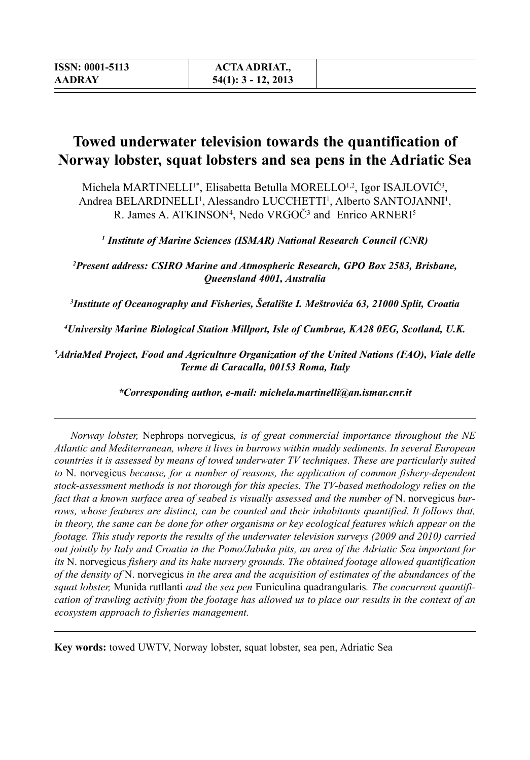# **Towed underwater television towards the quantification of Norway lobster, squat lobsters and sea pens in the Adriatic Sea**

Michela MARTINELLI<sup>1\*</sup>, Elisabetta Betulla MORELLO<sup>1,2</sup>, Igor ISAJLOVIC<sup>3</sup>, Andrea BELARDINELLI<sup>1</sup>, Alessandro LUCCHETTI<sup>1</sup>, Alberto SANTOJANNI<sup>1</sup>, R. James A. ATKINSON<sup>4</sup>, Nedo VRGOČ<sup>3</sup> and Enrico ARNERI<sup>5</sup>

*1 Institute of Marine Sciences (ISMAR) National Research Council (CNR)*

*2 Present address: CSIRO Marine and Atmospheric Research, GPO Box 2583, Brisbane, Queensland 4001, Australia*

*3 Institute of Oceanography and Fisheries, Šetalište I. Meštrovića 63, 21000 Split, Croatia*

*4 University Marine Biological Station Millport, Isle of Cumbrae, KA28 0EG, Scotland, U.K.*

*5 AdriaMed Project, Food and Agriculture Organization of the United Nations (FAO), Viale delle Terme di Caracalla, 00153 Roma, Italy*

*\*Corresponding author, e-mail: michela.martinelli@an.ismar.cnr.it*

*Norway lobster,* Nephrops norvegicus*, is of great commercial importance throughout the NE Atlantic and Mediterranean, where it lives in burrows within muddy sediments. In several European countries it is assessed by means of towed underwater TV techniques. These are particularly suited to* N. norvegicus *because, for a number of reasons, the application of common fishery-dependent stock-assessment methods is not thorough for this species. The TV-based methodology relies on the*  fact that a known surface area of seabed is visually assessed and the number of N. norvegicus bur*rows, whose features are distinct, can be counted and their inhabitants quantified. It follows that, in theory, the same can be done for other organisms or key ecological features which appear on the footage. This study reports the results of the underwater television surveys (2009 and 2010) carried out jointly by Italy and Croatia in the Pomo/Jabuka pits, an area of the Adriatic Sea important for its* N. norvegicus *fishery and its hake nursery grounds. The obtained footage allowed quantification of the density of* N. norvegicus *in the area and the acquisition of estimates of the abundances of the squat lobster,* Munida rutllanti *and the sea pen* Funiculina quadrangularis*. The concurrent quantification of trawling activity from the footage has allowed us to place our results in the context of an ecosystem approach to fisheries management.*

**Key words:** towed UWTV, Norway lobster, squat lobster, sea pen, Adriatic Sea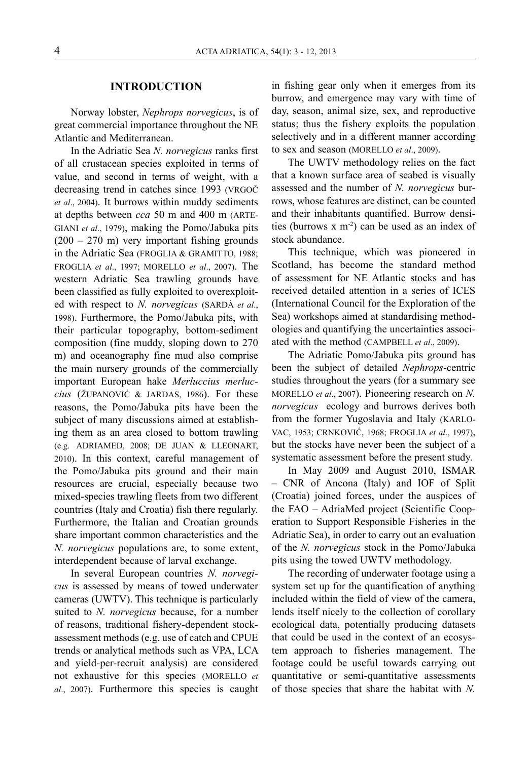#### **INTRODUCTION**

Norway lobster, *Nephrops norvegicus*, is of great commercial importance throughout the NE Atlantic and Mediterranean.

In the Adriatic Sea *N. norvegicus* ranks first of all crustacean species exploited in terms of value, and second in terms of weight, with a decreasing trend in catches since 1993 (VRGOČ *et al*., 2004). It burrows within muddy sediments at depths between *cca* 50 m and 400 m (ARTE-GIANI *et al*., 1979), making the Pomo/Jabuka pits  $(200 - 270 \text{ m})$  very important fishing grounds in the Adriatic Sea (FROGLIA & GRAMITTO, 1988; FROGLIA *et al*., 1997; MORELLO *et al*., 2007). The western Adriatic Sea trawling grounds have been classified as fully exploited to overexploited with respect to *N. norvegicus* (SARDÀ *et al*., 1998). Furthermore, the Pomo/Jabuka pits, with their particular topography, bottom-sediment composition (fine muddy, sloping down to 270 m) and oceanography fine mud also comprise the main nursery grounds of the commercially important European hake *Merluccius merluccius* (ŽUPANOVIĆ & JARDAS, 1986). For these reasons, the Pomo/Jabuka pits have been the subject of many discussions aimed at establishing them as an area closed to bottom trawling (e.g. ADRIAMED, 2008; DE JUAN & LLEONART, 2010). In this context, careful management of the Pomo/Jabuka pits ground and their main resources are crucial, especially because two mixed-species trawling fleets from two different countries (Italy and Croatia) fish there regularly. Furthermore, the Italian and Croatian grounds share important common characteristics and the *N. norvegicus* populations are, to some extent, interdependent because of larval exchange.

In several European countries *N. norvegicus* is assessed by means of towed underwater cameras (UWTV). This technique is particularly suited to *N. norvegicus* because, for a number of reasons, traditional fishery-dependent stockassessment methods (e.g. use of catch and CPUE trends or analytical methods such as VPA, LCA and yield-per-recruit analysis) are considered not exhaustive for this species (MORELLO *et al*., 2007). Furthermore this species is caught

in fishing gear only when it emerges from its burrow, and emergence may vary with time of day, season, animal size, sex, and reproductive status; thus the fishery exploits the population selectively and in a different manner according to sex and season (MORELLO *et al*., 2009).

The UWTV methodology relies on the fact that a known surface area of seabed is visually assessed and the number of *N. norvegicus* burrows, whose features are distinct, can be counted and their inhabitants quantified. Burrow densities (burrows  $x \text{ m}^2$ ) can be used as an index of stock abundance.

This technique, which was pioneered in Scotland, has become the standard method of assessment for NE Atlantic stocks and has received detailed attention in a series of ICES (International Council for the Exploration of the Sea) workshops aimed at standardising methodologies and quantifying the uncertainties associated with the method (CAMPBELL *et al*., 2009).

The Adriatic Pomo/Jabuka pits ground has been the subject of detailed *Nephrops*-centric studies throughout the years (for a summary see MORELLO *et al*., 2007). Pioneering research on *N. norvegicus* ecology and burrows derives both from the former Yugoslavia and Italy (KARLO-VAC, 1953; CRNKOVIĆ, 1968; FROGLIA *et al*., 1997), but the stocks have never been the subject of a systematic assessment before the present study.

In May 2009 and August 2010, ISMAR – CNR of Ancona (Italy) and IOF of Split (Croatia) joined forces, under the auspices of the FAO – AdriaMed project (Scientific Cooperation to Support Responsible Fisheries in the Adriatic Sea), in order to carry out an evaluation of the *N. norvegicus* stock in the Pomo/Jabuka pits using the towed UWTV methodology.

The recording of underwater footage using a system set up for the quantification of anything included within the field of view of the camera, lends itself nicely to the collection of corollary ecological data, potentially producing datasets that could be used in the context of an ecosystem approach to fisheries management. The footage could be useful towards carrying out quantitative or semi-quantitative assessments of those species that share the habitat with *N.*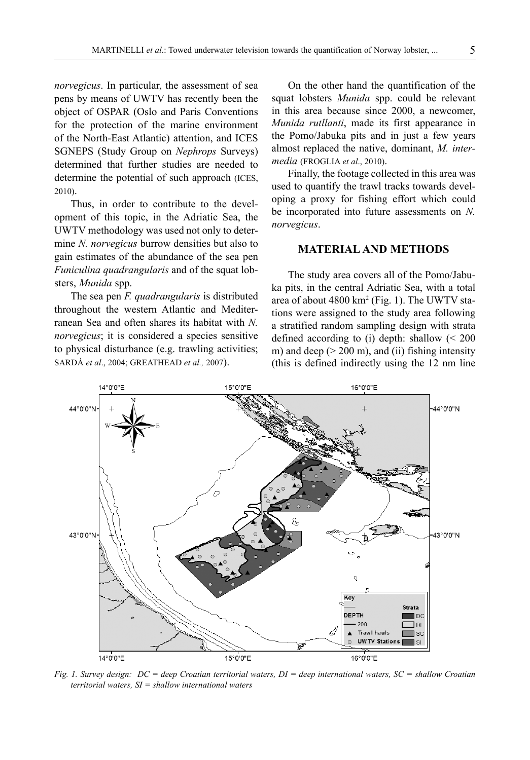*norvegicus*. In particular, the assessment of sea pens by means of UWTV has recently been the object of OSPAR (Oslo and Paris Conventions for the protection of the marine environment of the North-East Atlantic) attention, and ICES SGNEPS (Study Group on *Nephrops* Surveys) determined that further studies are needed to determine the potential of such approach (ICES, 2010).

Thus, in order to contribute to the development of this topic, in the Adriatic Sea, the UWTV methodology was used not only to determine *N. norvegicus* burrow densities but also to gain estimates of the abundance of the sea pen *Funiculina quadrangularis* and of the squat lobsters, *Munida* spp.

The sea pen *F. quadrangularis* is distributed throughout the western Atlantic and Mediterranean Sea and often shares its habitat with *N. norvegicus*; it is considered a species sensitive to physical disturbance (e.g. trawling activities; SARDÀ *et al*., 2004; GREATHEAD *et al.,* 2007).

On the other hand the quantification of the squat lobsters *Munida* spp. could be relevant in this area because since 2000, a newcomer, *Munida rutllanti*, made its first appearance in the Pomo/Jabuka pits and in just a few years almost replaced the native, dominant, *M. intermedia* (FROGLIA *et al*., 2010).

Finally, the footage collected in this area was used to quantify the trawl tracks towards developing a proxy for fishing effort which could be incorporated into future assessments on *N. norvegicus*.

#### **MATERIAL AND METHODS**

The study area covers all of the Pomo/Jabuka pits, in the central Adriatic Sea, with a total area of about 4800 km<sup>2</sup> (Fig. 1). The UWTV stations were assigned to the study area following a stratified random sampling design with strata defined according to (i) depth: shallow (< 200 m) and deep  $(> 200 \text{ m})$ , and (ii) fishing intensity (this is defined indirectly using the 12 nm line



*Fig. 1. Survey design: DC = deep Croatian territorial waters, DI = deep international waters, SC = shallow Croatian territorial waters, SI = shallow international waters*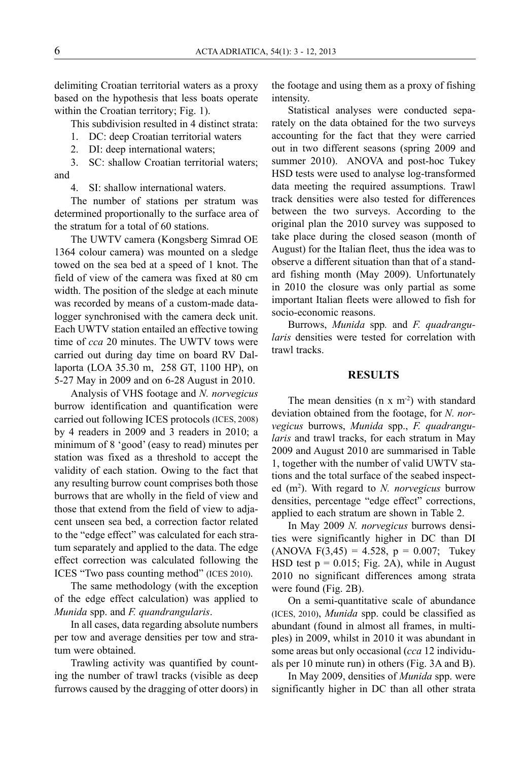delimiting Croatian territorial waters as a proxy based on the hypothesis that less boats operate within the Croatian territory; Fig. 1).

This subdivision resulted in 4 distinct strata:

1. DC: deep Croatian territorial waters

2. DI: deep international waters;

3. SC: shallow Croatian territorial waters; and

4. SI: shallow international waters.

The number of stations per stratum was determined proportionally to the surface area of the stratum for a total of 60 stations.

The UWTV camera (Kongsberg Simrad OE 1364 colour camera) was mounted on a sledge towed on the sea bed at a speed of 1 knot. The field of view of the camera was fixed at 80 cm width. The position of the sledge at each minute was recorded by means of a custom-made datalogger synchronised with the camera deck unit. Each UWTV station entailed an effective towing time of *cca* 20 minutes. The UWTV tows were carried out during day time on board RV Dallaporta (LOA 35.30 m, 258 GT, 1100 HP), on 5-27 May in 2009 and on 6-28 August in 2010.

Analysis of VHS footage and *N. norvegicus* burrow identification and quantification were carried out following ICES protocols (ICES, 2008) by 4 readers in 2009 and 3 readers in 2010; a minimum of 8 'good' (easy to read) minutes per station was fixed as a threshold to accept the validity of each station. Owing to the fact that any resulting burrow count comprises both those burrows that are wholly in the field of view and those that extend from the field of view to adjacent unseen sea bed, a correction factor related to the "edge effect" was calculated for each stratum separately and applied to the data. The edge effect correction was calculated following the ICES "Two pass counting method" (ICES 2010).

The same methodology (with the exception of the edge effect calculation) was applied to *Munida* spp. and *F. quandrangularis*.

In all cases, data regarding absolute numbers per tow and average densities per tow and stratum were obtained.

Trawling activity was quantified by counting the number of trawl tracks (visible as deep furrows caused by the dragging of otter doors) in the footage and using them as a proxy of fishing intensity.

Statistical analyses were conducted separately on the data obtained for the two surveys accounting for the fact that they were carried out in two different seasons (spring 2009 and summer 2010). ANOVA and post-hoc Tukey HSD tests were used to analyse log-transformed data meeting the required assumptions. Trawl track densities were also tested for differences between the two surveys. According to the original plan the 2010 survey was supposed to take place during the closed season (month of August) for the Italian fleet, thus the idea was to observe a different situation than that of a standard fishing month (May 2009). Unfortunately in 2010 the closure was only partial as some important Italian fleets were allowed to fish for socio-economic reasons.

Burrows, *Munida* spp*.* and *F. quadrangularis* densities were tested for correlation with trawl tracks.

#### **RESULTS**

The mean densities  $(n \times m^{-2})$  with standard deviation obtained from the footage, for *N. norvegicus* burrows, *Munida* spp., *F. quadrangularis* and trawl tracks, for each stratum in May 2009 and August 2010 are summarised in Table 1, together with the number of valid UWTV stations and the total surface of the seabed inspected (m2 ). With regard to *N. norvegicus* burrow densities, percentage "edge effect" corrections, applied to each stratum are shown in Table 2.

In May 2009 *N. norvegicus* burrows densities were significantly higher in DC than DI  $(ANOVA F(3,45) = 4.528, p = 0.007;$  Tukey HSD test  $p = 0.015$ ; Fig. 2A), while in August 2010 no significant differences among strata were found (Fig. 2B).

On a semi-quantitative scale of abundance (ICES, 2010), *Munida* spp. could be classified as abundant (found in almost all frames, in multiples) in 2009, whilst in 2010 it was abundant in some areas but only occasional (*cca* 12 individuals per 10 minute run) in others (Fig. 3A and B).

In May 2009, densities of *Munida* spp. were significantly higher in DC than all other strata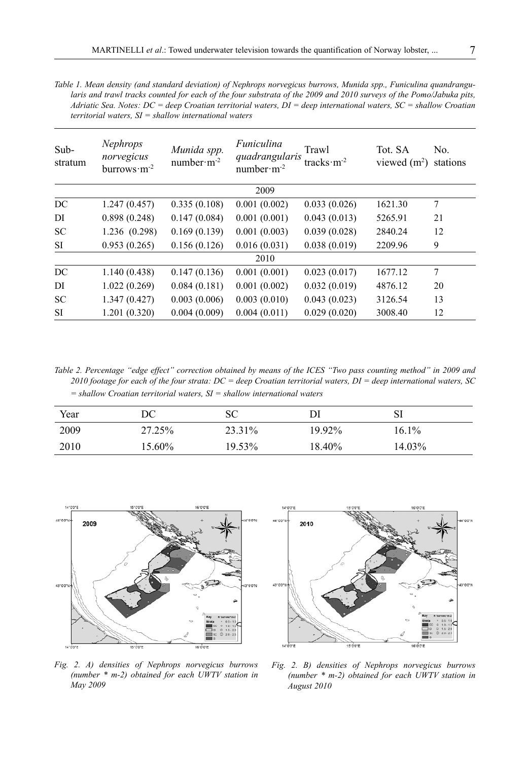*Table 1. Mean density (and standard deviation) of Nephrops norvegicus burrows, Munida spp., Funiculina quandrangularis and trawl tracks counted for each of the four substrata of the 2009 and 2010 surveys of the Pomo/Jabuka pits, Adriatic Sea. Notes: DC = deep Croatian territorial waters, DI = deep international waters, SC = shallow Croatian territorial waters, SI = shallow international waters*

| Sub-<br>stratum | <b>Nephrops</b><br>norvegicus<br>burrows $\cdot$ m <sup>-2</sup> | Munida spp.<br>$number·m-2$ | Funiculina<br>quadrangularis<br>$number·m-2$ | Trawl<br>tracks $\cdot$ m <sup>-2</sup> | Tot. SA<br>viewed $(m2)$ | No.<br>stations |
|-----------------|------------------------------------------------------------------|-----------------------------|----------------------------------------------|-----------------------------------------|--------------------------|-----------------|
|                 |                                                                  |                             | 2009                                         |                                         |                          |                 |
| DC              | 1.247(0.457)                                                     | 0.335(0.108)                | 0.001(0.002)                                 | 0.033(0.026)                            | 1621.30                  | 7               |
| DI              | 0.898(0.248)                                                     | 0.147(0.084)                | 0.001(0.001)                                 | 0.043(0.013)                            | 5265.91                  | 21              |
| <b>SC</b>       | 1.236 (0.298)                                                    | 0.169(0.139)                | 0.001(0.003)                                 | 0.039(0.028)                            | 2840.24                  | 12              |
| SI              | 0.953(0.265)                                                     | 0.156(0.126)                | 0.016(0.031)                                 | 0.038(0.019)                            | 2209.96                  | 9               |
|                 |                                                                  |                             | 2010                                         |                                         |                          |                 |
| DC              | 1.140(0.438)                                                     | 0.147(0.136)                | 0.001(0.001)                                 | 0.023(0.017)                            | 1677.12                  | 7               |
| DI              | 1.022(0.269)                                                     | 0.084(0.181)                | 0.001(0.002)                                 | 0.032(0.019)                            | 4876.12                  | 20              |
| <b>SC</b>       | 1.347(0.427)                                                     | 0.003(0.006)                | 0.003(0.010)                                 | 0.043(0.023)                            | 3126.54                  | 13              |
| SI              | 1.201(0.320)                                                     | 0.004(0.009)                | 0.004(0.011)                                 | 0.029(0.020)                            | 3008.40                  | 12              |

*Table 2. Percentage "edge effect" correction obtained by means of the ICES "Two pass counting method" in 2009 and 2010 footage for each of the four strata: DC = deep Croatian territorial waters, DI = deep international waters, SC = shallow Croatian territorial waters, SI = shallow international waters*

| Year | DС     | SС     | Dl        | SI       |
|------|--------|--------|-----------|----------|
| 2009 | 27.25% | 23.31% | $19.92\%$ | $16.1\%$ |
| 2010 | 15.60% | 19.53% | 18.40%    | 14.03%   |



2010

*Fig. 2. A) densities of Nephrops norvegicus burrows (number \* m-2) obtained for each UWTV station in May 2009*

*Fig. 2. B) densities of Nephrops norvegicus burrows (number \* m-2) obtained for each UWTV station in August 2010*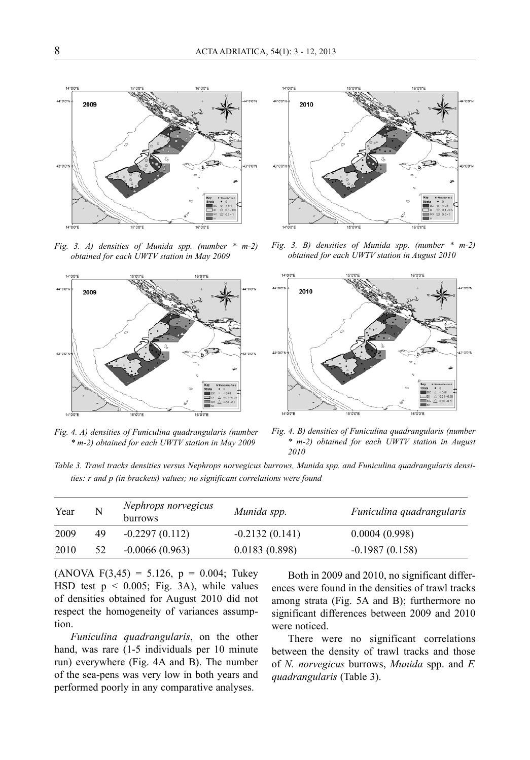

*Fig. 3. A) densities of Munida spp. (number \* m-2) obtained for each UWTV station in May 2009*



*Fig. 4. A) densities of Funiculina quadrangularis (number \* m-2) obtained for each UWTV station in May 2009*



*Fig. 3. B) densities of Munida spp. (number \* m-2) obtained for each UWTV station in August 2010*



*Fig. 4. B) densities of Funiculina quadrangularis (number \* m-2) obtained for each UWTV station in August 2010*

*Table 3. Trawl tracks densities versus Nephrops norvegicus burrows, Munida spp. and Funiculina quadrangularis densities: r and p (in brackets) values; no significant correlations were found*

| Year | N  | Nephrops norvegicus<br>burrows | Munida spp.      | Funiculina quadrangularis |
|------|----|--------------------------------|------------------|---------------------------|
| 2009 | 49 | $-0.2297(0.112)$               | $-0.2132(0.141)$ | 0.0004(0.998)             |
| 2010 | 52 | $-0.0066(0.963)$               | 0.0183(0.898)    | $-0.1987(0.158)$          |

 $(ANOVA F(3,45) = 5.126, p = 0.004;$  Tukey HSD test  $p \le 0.005$ ; Fig. 3A), while values of densities obtained for August 2010 did not respect the homogeneity of variances assumption.

*Funiculina quadrangularis*, on the other hand, was rare (1-5 individuals per 10 minute run) everywhere (Fig. 4A and B). The number of the sea-pens was very low in both years and performed poorly in any comparative analyses.

Both in 2009 and 2010, no significant differences were found in the densities of trawl tracks among strata (Fig. 5A and B); furthermore no significant differences between 2009 and 2010 were noticed.

There were no significant correlations between the density of trawl tracks and those of *N. norvegicus* burrows, *Munida* spp. and *F. quadrangularis* (Table 3).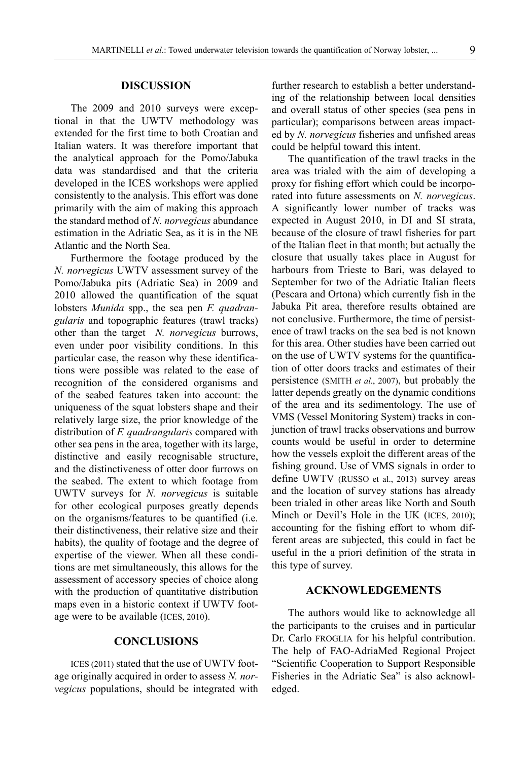The 2009 and 2010 surveys were exceptional in that the UWTV methodology was extended for the first time to both Croatian and Italian waters. It was therefore important that the analytical approach for the Pomo/Jabuka data was standardised and that the criteria developed in the ICES workshops were applied consistently to the analysis. This effort was done primarily with the aim of making this approach the standard method of *N. norvegicus* abundance estimation in the Adriatic Sea, as it is in the NE Atlantic and the North Sea.

Furthermore the footage produced by the *N. norvegicus* UWTV assessment survey of the Pomo/Jabuka pits (Adriatic Sea) in 2009 and 2010 allowed the quantification of the squat lobsters *Munida* spp., the sea pen *F. quadrangularis* and topographic features (trawl tracks) other than the target *N. norvegicus* burrows, even under poor visibility conditions. In this particular case, the reason why these identifications were possible was related to the ease of recognition of the considered organisms and of the seabed features taken into account: the uniqueness of the squat lobsters shape and their relatively large size, the prior knowledge of the distribution of *F. quadrangularis* compared with other sea pens in the area, together with its large, distinctive and easily recognisable structure, and the distinctiveness of otter door furrows on the seabed. The extent to which footage from UWTV surveys for *N. norvegicus* is suitable for other ecological purposes greatly depends on the organisms/features to be quantified (i.e. their distinctiveness, their relative size and their habits), the quality of footage and the degree of expertise of the viewer. When all these conditions are met simultaneously, this allows for the assessment of accessory species of choice along with the production of quantitative distribution maps even in a historic context if UWTV footage were to be available (ICES, 2010).

#### **CONCLUSIONS**

ICES (2011) stated that the use of UWTV footage originally acquired in order to assess *N. norvegicus* populations, should be integrated with further research to establish a better understanding of the relationship between local densities and overall status of other species (sea pens in particular); comparisons between areas impacted by *N. norvegicus* fisheries and unfished areas could be helpful toward this intent.

The quantification of the trawl tracks in the area was trialed with the aim of developing a proxy for fishing effort which could be incorporated into future assessments on *N. norvegicus*. A significantly lower number of tracks was expected in August 2010, in DI and SI strata, because of the closure of trawl fisheries for part of the Italian fleet in that month; but actually the closure that usually takes place in August for harbours from Trieste to Bari, was delayed to September for two of the Adriatic Italian fleets (Pescara and Ortona) which currently fish in the Jabuka Pit area, therefore results obtained are not conclusive. Furthermore, the time of persistence of trawl tracks on the sea bed is not known for this area. Other studies have been carried out on the use of UWTV systems for the quantification of otter doors tracks and estimates of their persistence (SMITH *et al*., 2007), but probably the latter depends greatly on the dynamic conditions of the area and its sedimentology. The use of VMS (Vessel Monitoring System) tracks in conjunction of trawl tracks observations and burrow counts would be useful in order to determine how the vessels exploit the different areas of the fishing ground. Use of VMS signals in order to define UWTV (RUSSO et al., 2013) survey areas and the location of survey stations has already been trialed in other areas like North and South Minch or Devil's Hole in the UK (ICES, 2010); accounting for the fishing effort to whom different areas are subjected, this could in fact be useful in the a priori definition of the strata in this type of survey.

#### **ACKNOWLEDGEMENTS**

The authors would like to acknowledge all the participants to the cruises and in particular Dr. Carlo FROGLIA for his helpful contribution. The help of FAO-AdriaMed Regional Project "Scientific Cooperation to Support Responsible Fisheries in the Adriatic Sea" is also acknowledged.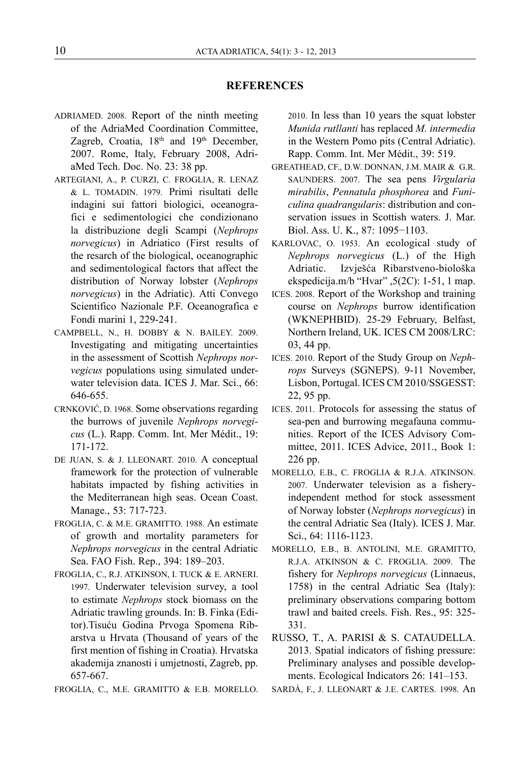#### **REFERENCES**

- ADRIAMED. 2008. Report of the ninth meeting of the AdriaMed Coordination Committee, Zagreb, Croatia, 18<sup>th</sup> and 19<sup>th</sup> December, 2007. Rome, Italy, February 2008, AdriaMed Tech. Doc. No. 23: 38 pp.
- ARTEGIANI, A., P. CURZI, C. FROGLIA, R. LENAZ & L. TOMADIN. 1979. Primi risultati delle indagini sui fattori biologici, oceanografici e sedimentologici che condizionano la distribuzione degli Scampi (*Nephrops norvegicus*) in Adriatico (First results of the resarch of the biological, oceanographic and sedimentological factors that affect the distribution of Norway lobster (*Nephrops norvegicus*) in the Adriatic). Atti Convego Scientifico Nazionale P.F. Oceanografica e Fondi marini 1, 229-241.
- CAMPBELL, N., H. DOBBY & N. BAILEY. 2009. Investigating and mitigating uncertainties in the assessment of Scottish *Nephrops norvegicus* populations using simulated underwater television data. ICES J. Mar. Sci., 66: 646-655.
- CRNKOVIĆ, D. 1968. Some observations regarding the burrows of juvenile *Nephrops norvegicus* (L.). Rapp. Comm. Int. Mer Médit., 19: 171-172.
- DE JUAN, S. & J. LLEONART. 2010. A conceptual framework for the protection of vulnerable habitats impacted by fishing activities in the Mediterranean high seas. Ocean Coast. Manage., 53: 717-723.
- FROGLIA, C. & M.E. GRAMITTO. 1988. An estimate of growth and mortality parameters for *Nephrops norvegicus* in the central Adriatic Sea. FAO Fish. Rep., 394: 189–203.
- FROGLIA, C., R.J. ATKINSON, I. TUCK & E. ARNERI. 1997. Underwater television survey, a tool to estimate *Nephrops* stock biomass on the Adriatic trawling grounds. In: B. Finka (Editor).Tisuću Godina Prvoga Spomena Ribarstva u Hrvata (Thousand of years of the first mention of fishing in Croatia). Hrvatska akademija znanosti i umjetnosti, Zagreb, pp. 657-667.
- FROGLIA, C., M.E. GRAMITTO & E.B. MORELLO.

2010. In less than 10 years the squat lobster *Munida rutllanti* has replaced *M. intermedia*  in the Western Pomo pits (Central Adriatic). Rapp. Comm. Int. Mer Médit., 39: 519.

- GREATHEAD, CF., D.W. DONNAN, J.M. MAIR & G.R. SAUNDERS. 2007. The sea pens *Virgularia mirabilis*, *Pennatula phosphorea* and *Funiculina quadrangularis*: distribution and conservation issues in Scottish waters. J. Mar. Biol. Ass. U. K., 87: 1095−1103.
- KARLOVAC, O. 1953. An ecological study of *Nephrops norvegicus* (L.) of the High Adriatic. Izvješća Ribarstveno-biološka ekspedicija.m/b "Hvar" ,5(2C): 1-51, 1 map.
- ICES. 2008. Report of the Workshop and training course on *Nephrops* burrow identification (WKNEPHBID). 25-29 February, Belfast, Northern Ireland, UK. ICES CM 2008/LRC: 03, 44 pp.
- ICES. 2010. Report of the Study Group on *Nephrops* Surveys (SGNEPS). 9-11 November, Lisbon, Portugal. ICES CM 2010/SSGESST: 22, 95 pp.
- ICES. 2011. Protocols for assessing the status of sea-pen and burrowing megafauna communities. Report of the ICES Advisory Committee, 2011. ICES Advice, 2011., Book 1: 226 pp.
- MORELLO, E.B., C. FROGLIA & R.J.A. ATKINSON. 2007. Underwater television as a fisheryindependent method for stock assessment of Norway lobster (*Nephrops norvegicus*) in the central Adriatic Sea (Italy). ICES J. Mar. Sci., 64: 1116-1123.
- MORELLO, E.B., B. ANTOLINI, M.E. GRAMITTO, R.J.A. ATKINSON & C. FROGLIA. 2009. The fishery for *Nephrops norvegicus* (Linnaeus, 1758) in the central Adriatic Sea (Italy): preliminary observations comparing bottom trawl and baited creels. Fish. Res., 95: 325- 331.
- RUSSO, T., A. PARISI & S. CATAUDELLA. 2013. Spatial indicators of fishing pressure: Preliminary analyses and possible developments. Ecological Indicators 26: 141–153.
- SARDÀ, F., J. LLEONART & J.E. CARTES. 1998. An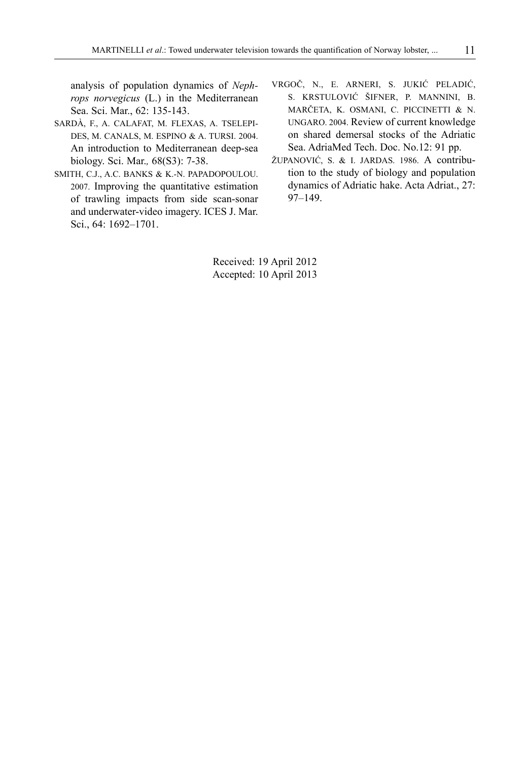analysis of population dynamics of *Nephrops norvegicus* (L.) in the Mediterranean Sea. Sci. Mar., 62: 135-143.

- SARDÀ, F., A. CALAFAT, M. FLEXAS, A. TSELEPI-DES, M. CANALS, M. ESPINO & A. TURSI. 2004. An introduction to Mediterranean deep-sea biology. Sci. Mar.*,* 68(S3): 7-38.
- SMITH, C.J., A.C. BANKS & K.-N. PAPADOPOULOU. 2007. Improving the quantitative estimation of trawling impacts from side scan-sonar and underwater-video imagery. ICES J. Mar. Sci., 64: 1692–1701.
- VRGOČ, N., E. ARNERI, S. JUKIĆ PELADIĆ, S. KRSTULOVIĆ ŠIFNER, P. MANNINI, B. MARČETA, K. OSMANI, C. PICCINETTI & N. UNGARO. 2004. Review of current knowledge on shared demersal stocks of the Adriatic Sea. AdriaMed Tech. Doc. No.12: 91 pp.
- ŽUPANOVIĆ, S. & I. JARDAS. 1986. A contribution to the study of biology and population dynamics of Adriatic hake. Acta Adriat., 27: 97–149.

Received: 19 April 2012 Accepted: 10 April 2013